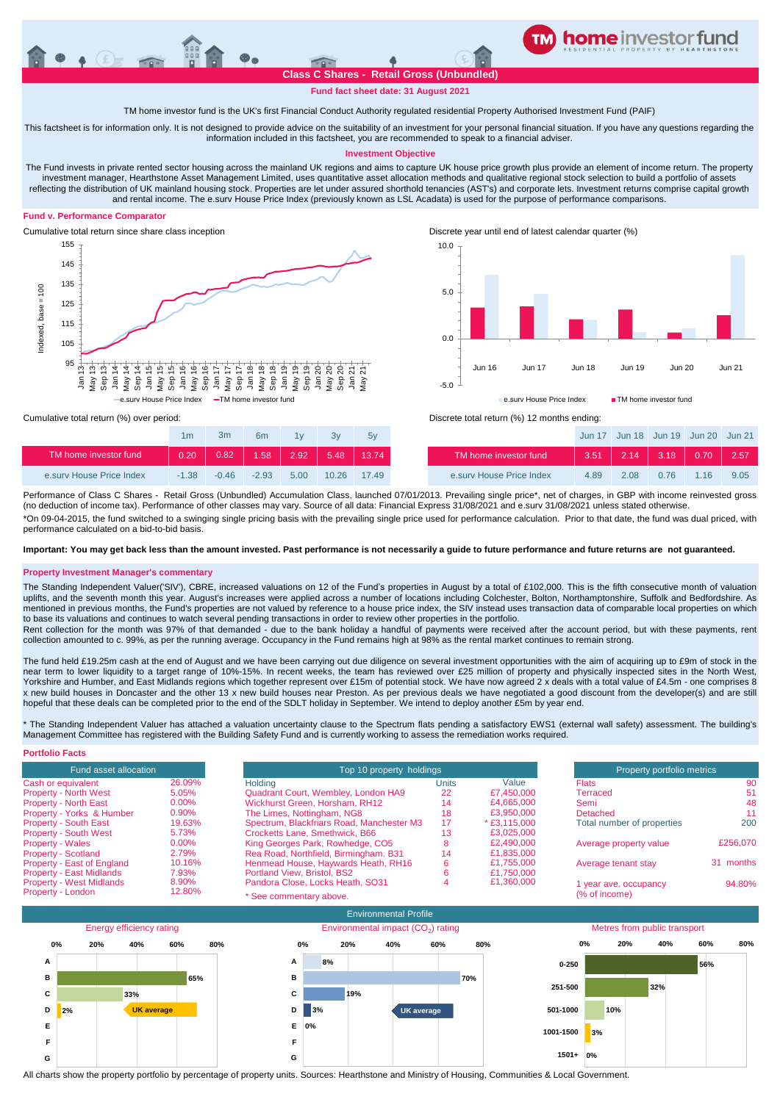

## **Fund fact sheet date: 31 August 2021**

TM home investor fund is the UK's first Financial Conduct Authority regulated residential Property Authorised Investment Fund (PAIF)

This factsheet is for information only. It is not designed to provide advice on the suitability of an investment for your personal financial situation. If you have any questions regarding the information included in this factsheet, you are recommended to speak to a financial adviser.

### **Investment Objective**

The Fund invests in private rented sector housing across the mainland UK regions and aims to capture UK house price growth plus provide an element of income return. The property investment manager, Hearthstone Asset Management Limited, uses quantitative asset allocation methods and qualitative regional stock selection to build a portfolio of assets reflecting the distribution of UK mainland housing stock. Properties are let under assured shorthold tenancies (AST's) and corporate lets. Investment returns comprise capital growth and rental income. The e.surv House Price Index (previously known as LSL Acadata) is used for the purpose of performance comparisons.

### **Fund v. Performance Comparator**





1m 6m 1y 3y 5y Jun 17 Jun 18 Jun 19 Jun 20 Jun 21

|                          | 1m      | 3m      | 6 <sub>m</sub> |      |       | 5v    |
|--------------------------|---------|---------|----------------|------|-------|-------|
| TM home investor fund    | 0.20    | 0.82    | 1.58           | 2.92 | 5.481 | 13.74 |
| e.sury House Price Index | $-1.38$ | $-0.46$ | $-2.93$        | 5.00 | 10.26 | 1749  |



| TM home investor fund    | 0.20    |         |         |      |             | TM home investor fund                                                                                                                                                           |           | $3.51$ 2.14 3.18 0.70 2.57 |      |      |
|--------------------------|---------|---------|---------|------|-------------|---------------------------------------------------------------------------------------------------------------------------------------------------------------------------------|-----------|----------------------------|------|------|
| e.sury House Price Index | $-1.38$ | $-0.46$ | $-2.93$ | 5.00 | 10.26 17.49 | e.sury House Price Index                                                                                                                                                        | 4.89 2.08 | 0.76                       | 1.16 | 9.05 |
|                          |         |         |         |      |             | Performance of Class C Shares - Retail Gross (Unbundled) Accumulation Class, launched 07/01/2013. Prevailing single price*, net of charges, in GBP with income reinvested gross |           |                            |      |      |

(no deduction of income tax). Performance of other classes may vary. Source of all data: Financial Express 31/08/2021 and e.surv 31/08/2021 unless stated otherwise. \*On 09-04-2015, the fund switched to a swinging single pricing basis with the prevailing single price used for performance calculation. Prior to that date, the fund was dual priced, with performance calculated on a bid-to-bid basis.

**Important: You may get back less than the amount invested. Past performance is not necessarily a guide to future performance and future returns are not guaranteed.** 

# **Property Investment Manager's commentary**

The Standing Independent Valuer('SIV'), CBRE, increased valuations on 12 of the Fund's properties in August by a total of £102,000. This is the fifth consecutive month of valuation uplifts, and the seventh month this year. August's increases were applied across a number of locations including Colchester, Bolton, Northamptonshire, Suffolk and Bedfordshire. As mentioned in previous months, the Fund's properties are not valued by reference to a house price index, the SIV instead uses transaction data of comparable local properties on which to base its valuations and continues to watch several pending transactions in order to review other properties in the portfolio.

Rent collection for the month was 97% of that demanded - due to the bank holiday a handful of payments were received after the account period, but with these payments, rent collection amounted to c. 99%, as per the running average. Occupancy in the Fund remains high at 98% as the rental market continues to remain strong.

The fund held £19.25m cash at the end of August and we have been carrying out due diligence on several investment opportunities with the aim of acquiring up to £9m of stock in the near term to lower liquidity to a target range of 10%-15%. In recent weeks, the team has reviewed over £25 million of property and physically inspected sites in the North West, Yorkshire and Humber, and East Midlands regions which together represent over £15m of potential stock. We have now agreed 2 x deals with a total value of £4.5m - one comprises 8 x new build houses in Doncaster and the other 13 x new build houses near Preston. As per previous deals we have negotiated a good discount from the developer(s) and are still hopeful that these deals can be completed prior to the end of the SDLT holiday in September. We intend to deploy another £5m by year end.

\* The Standing Independent Valuer has attached a valuation uncertainty clause to the Spectrum flats pending a satisfactory EWS1 (external wall safety) assessment. The building's Management Committee has registered with the Building Safety Fund and is currently working to assess the remediation works required.

| <b>Portfolio Facts</b>          |          |                                           |                            |                |                            |           |
|---------------------------------|----------|-------------------------------------------|----------------------------|----------------|----------------------------|-----------|
| Fund asset allocation           |          | Top 10 property holdings                  | Property portfolio metrics |                |                            |           |
| Cash or equivalent              | 26.09%   | Holdina                                   | Units                      | Value          | Flats                      | 90        |
| <b>Property - North West</b>    | 5.05%    | Quadrant Court, Wembley, London HA9       | 22                         | £7.450,000     | Terraced                   | -51       |
| <b>Property - North East</b>    | $0.00\%$ | Wickhurst Green, Horsham, RH12            | 14                         | £4.665.000     | Semi                       | 48        |
| Property - Yorks & Humber       | $0.90\%$ | The Limes, Nottingham, NG8                | 18                         | £3.950,000     | Detached                   | 11        |
| <b>Property - South East</b>    | 19.63%   | Spectrum, Blackfriars Road, Manchester M3 | 17                         | $*$ £3.115.000 | Total number of properties | 200       |
| <b>Property - South West</b>    | 5.73%    | Crocketts Lane, Smethwick, B66            | 13                         | £3.025.000     |                            |           |
| <b>Property - Wales</b>         | $0.00\%$ | King Georges Park, Rowhedge, CO5          |                            | £2,490,000     | Average property value     | £256,070  |
| <b>Property - Scotland</b>      | 2.79%    | Rea Road, Northfield, Birmingham. B31     | 14                         | £1,835,000     |                            |           |
| Property - East of England      | 10.16%   | Henmead House, Haywards Heath, RH16       | 6                          | £1.755.000     | Average tenant stav        | 31 months |
| <b>Property - East Midlands</b> | 7.93%    | Portland View, Bristol, BS2               |                            | £1,750,000     |                            |           |
| <b>Property - West Midlands</b> | 8.90%    | Pandora Close, Locks Heath, SO31          |                            | £1.360,000     | year ave. occupancy        | 94.80%    |
| Property - London               | 12.80%   | * See commentary above.                   |                            |                | (% of income)              |           |



All charts show the property portfolio by percentage of property units. Sources: Hearthstone and Ministry of Housing, Communities & Local Government.